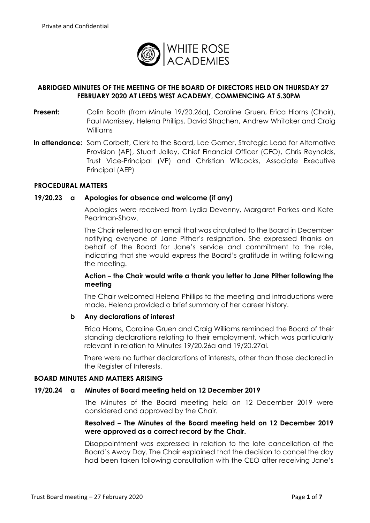

# **ABRIDGED MINUTES OF THE MEETING OF THE BOARD OF DIRECTORS HELD ON THURSDAY 27 FEBRUARY 2020 AT LEEDS WEST ACADEMY, COMMENCING AT 5.30PM**

- **Present:** Colin Booth (from Minute 19/20.26a)**,** Caroline Gruen, Erica Hiorns (Chair), Paul Morrissey, Helena Phillips, David Strachen, Andrew Whitaker and Craig Williams
- **In attendance:** Sam Corbett, Clerk to the Board, Lee Garner, Strategic Lead for Alternative Provision (AP), Stuart Jolley, Chief Financial Officer (CFO), Chris Reynolds, Trust Vice-Principal (VP) and Christian Wilcocks, Associate Executive Principal (AEP)

### **PROCEDURAL MATTERS**

### **19/20.23 a Apologies for absence and welcome (if any)**

Apologies were received from Lydia Devenny, Margaret Parkes and Kate Pearlman-Shaw.

The Chair referred to an email that was circulated to the Board in December notifying everyone of Jane Pither's resignation. She expressed thanks on behalf of the Board for Jane's service and commitment to the role, indicating that she would express the Board's gratitude in writing following the meeting.

# **Action – the Chair would write a thank you letter to Jane Pither following the meeting**

The Chair welcomed Helena Phillips to the meeting and introductions were made. Helena provided a brief summary of her career history.

#### **b Any declarations of interest**

Erica Hiorns, Caroline Gruen and Craig Williams reminded the Board of their standing declarations relating to their employment, which was particularly relevant in relation to Minutes 19/20.26a and 19/20.27ai.

There were no further declarations of interests, other than those declared in the Register of Interests.

## **BOARD MINUTES AND MATTERS ARISING**

#### **19/20.24 a Minutes of Board meeting held on 12 December 2019**

The Minutes of the Board meeting held on 12 December 2019 were considered and approved by the Chair.

## **Resolved – The Minutes of the Board meeting held on 12 December 2019 were approved as a correct record by the Chair.**

Disappointment was expressed in relation to the late cancellation of the Board's Away Day. The Chair explained that the decision to cancel the day had been taken following consultation with the CEO after receiving Jane's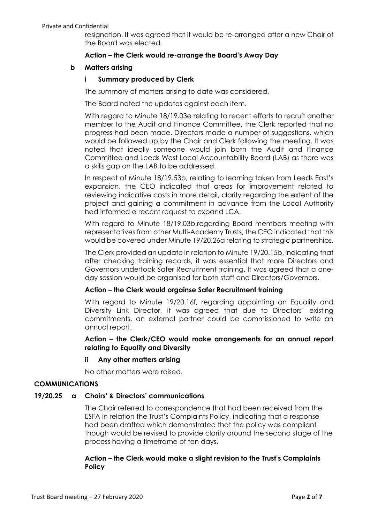resignation. It was agreed that it would be re-arranged after a new Chair of the Board was elected.

## **Action – the Clerk would re-arrange the Board's Away Day**

## **b Matters arising**

# **i Summary produced by Clerk**

The summary of matters arising to date was considered.

The Board noted the updates against each item.

With regard to Minute 18/19.03e relating to recent efforts to recruit another member to the Audit and Finance Committee, the Clerk reported that no progress had been made. Directors made a number of suggestions, which would be followed up by the Chair and Clerk following the meeting. It was noted that ideally someone would join both the Audit and Finance Committee and Leeds West Local Accountability Board (LAB) as there was a skills gap on the LAB to be addressed.

In respect of Minute 18/19.53b, relating to learning taken from Leeds East's expansion, the CEO indicated that areas for improvement related to reviewing indicative costs in more detail, clarity regarding the extent of the project and gaining a commitment in advance from the Local Authority had informed a recent request to expand LCA.

With regard to Minute 18/19.03b,regarding Board members meeting with representatives from other Multi-Academy Trusts, the CEO indicated that this would be covered under Minute 19/20.26a relating to strategic partnerships.

The Clerk provided an update in relation to Minute 19/20.15b, indicating that after checking training records, it was essential that more Directors and Governors undertook Safer Recruitment training. It was agreed that a oneday session would be organised for both staff and Directors/Governors.

## **Action – the Clerk would orgainse Safer Recruitment training**

With regard to Minute 19/20.16f, regarding appointing an Equality and Diversity Link Director, it was agreed that due to Directors' existing commitments, an external partner could be commissioned to write an annual report.

# **Action – the Clerk/CEO would make arrangements for an annual report relating to Equality and Diversity**

## **ii Any other matters arising**

No other matters were raised.

# **COMMUNICATIONS**

## **19/20.25 a Chairs' & Directors' communications**

The Chair referred to correspondence that had been received from the ESFA in relation the Trust's Complaints Policy, indicating that a response had been drafted which demonstrated that the policy was compliant though would be revised to provide clarity around the second stage of the process having a timeframe of ten days.

# **Action – the Clerk would make a slight revision to the Trust's Complaints Policy**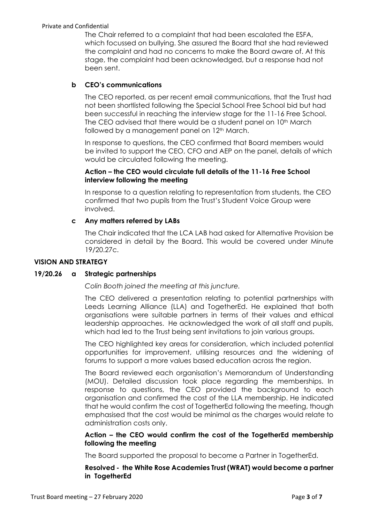#### Private and Confidential

The Chair referred to a complaint that had been escalated the ESFA, which focussed on bullying. She assured the Board that she had reviewed the complaint and had no concerns to make the Board aware of. At this stage, the complaint had been acknowledged, but a response had not been sent.

# **b CEO's communications**

The CEO reported, as per recent email communications, that the Trust had not been shortlisted following the Special School Free School bid but had been successful in reaching the interview stage for the 11-16 Free School. The CEO advised that there would be a student panel on 10<sup>th</sup> March followed by a management panel on 12<sup>th</sup> March.

In response to questions, the CEO confirmed that Board members would be invited to support the CEO, CFO and AEP on the panel, details of which would be circulated following the meeting.

# **Action – the CEO would circulate full details of the 11-16 Free School interview following the meeting**

In response to a question relating to representation from students, the CEO confirmed that two pupils from the Trust's Student Voice Group were involved.

# **c Any matters referred by LABs**

The Chair indicated that the LCA LAB had asked for Alternative Provision be considered in detail by the Board. This would be covered under Minute 19/20.27c.

# **VISION AND STRATEGY**

## **19/20.26 a Strategic partnerships**

## *Colin Booth joined the meeting at this juncture.*

The CEO delivered a presentation relating to potential partnerships with Leeds Learning Alliance (LLA) and TogetherEd. He explained that both organisations were suitable partners in terms of their values and ethical leadership approaches. He acknowledged the work of all staff and pupils, which had led to the Trust being sent invitations to join various groups.

The CEO highlighted key areas for consideration, which included potential opportunities for improvement, utilising resources and the widening of forums to support a more values based education across the region.

The Board reviewed each organisation's Memorandum of Understanding (MOU). Detailed discussion took place regarding the memberships. In response to questions, the CEO provided the background to each organisation and confirmed the cost of the LLA membership. He indicated that he would confirm the cost of TogetherEd following the meeting, though emphasised that the cost would be minimal as the charges would relate to administration costs only.

## **Action – the CEO would confirm the cost of the TogetherEd membership following the meeting**

The Board supported the proposal to become a Partner in TogetherEd.

### **Resolved - the White Rose Academies Trust (WRAT) would become a partner in TogetherEd**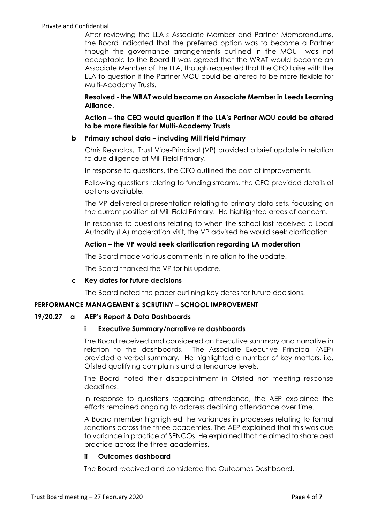After reviewing the LLA's Associate Member and Partner Memorandums, the Board indicated that the preferred option was to become a Partner though the governance arrangements outlined in the MOU was not acceptable to the Board It was agreed that the WRAT would become an Associate Member of the LLA, though requested that the CEO liaise with the LLA to question if the Partner MOU could be altered to be more flexible for Multi-Academy Trusts.

**Resolved - the WRAT would become an Associate Member in Leeds Learning Alliance.** 

**Action – the CEO would question if the LLA's Partner MOU could be altered to be more flexible for Multi-Academy Trusts**

## **b Primary school data – including Mill Field Primary**

Chris Reynolds, Trust Vice-Principal (VP) provided a brief update in relation to due diligence at Mill Field Primary.

In response to questions, the CFO outlined the cost of improvements.

Following questions relating to funding streams, the CFO provided details of options available.

The VP delivered a presentation relating to primary data sets, focussing on the current position at Mill Field Primary. He highlighted areas of concern.

In response to questions relating to when the school last received a Local Authority (LA) moderation visit, the VP advised he would seek clarification.

# **Action – the VP would seek clarification regarding LA moderation**

The Board made various comments in relation to the update.

The Board thanked the VP for his update.

## **c Key dates for future decisions**

The Board noted the paper outlining key dates for future decisions.

## **PERFORMANCE MANAGEMENT & SCRUTINY – SCHOOL IMPROVEMENT**

## **19/20.27 a AEP's Report & Data Dashboards**

## **i Executive Summary/narrative re dashboards**

The Board received and considered an Executive summary and narrative in relation to the dashboards. The Associate Executive Principal (AEP) provided a verbal summary. He highlighted a number of key matters, i.e. Ofsted qualifying complaints and attendance levels.

The Board noted their disappointment in Ofsted not meeting response deadlines.

In response to questions regarding attendance, the AEP explained the efforts remained ongoing to address declining attendance over time.

A Board member highlighted the variances in processes relating to formal sanctions across the three academies. The AEP explained that this was due to variance in practice of SENCOs. He explained that he aimed to share best practice across the three academies.

## **ii Outcomes dashboard**

The Board received and considered the Outcomes Dashboard.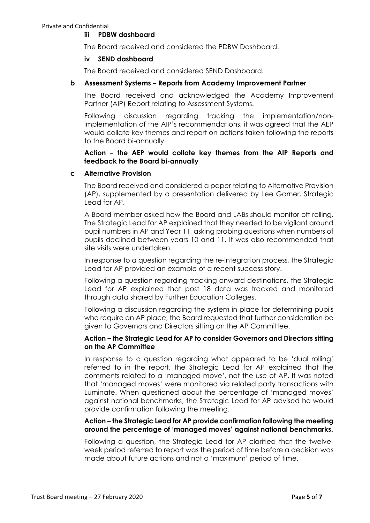## **iii PDBW dashboard**

The Board received and considered the PDBW Dashboard.

### **iv SEND dashboard**

The Board received and considered SEND Dashboard.

### **b Assessment Systems – Reports from Academy Improvement Partner**

The Board received and acknowledged the Academy Improvement Partner (AIP) Report relating to Assessment Systems.

Following discussion regarding tracking the implementation/nonimplementation of the AIP's recommendations, it was agreed that the AEP would collate key themes and report on actions taken following the reports to the Board bi-annually.

**Action – the AEP would collate key themes from the AIP Reports and feedback to the Board bi-annually**

## **c Alternative Provision**

The Board received and considered a paper relating to Alternative Provision (AP), supplemented by a presentation delivered by Lee Garner, Strategic Lead for AP.

A Board member asked how the Board and LABs should monitor off rolling. The Strategic Lead for AP explained that they needed to be vigilant around pupil numbers in AP and Year 11, asking probing questions when numbers of pupils declined between years 10 and 11. It was also recommended that site visits were undertaken.

In response to a question regarding the re-integration process, the Strategic Lead for AP provided an example of a recent success story.

Following a question regarding tracking onward destinations, the Strategic Lead for AP explained that post 18 data was tracked and monitored through data shared by Further Education Colleges.

Following a discussion regarding the system in place for determining pupils who require an AP place, the Board requested that further consideration be given to Governors and Directors sitting on the AP Committee.

### **Action – the Strategic Lead for AP to consider Governors and Directors sitting on the AP Committee**

In response to a question regarding what appeared to be 'dual rolling' referred to in the report, the Strategic Lead for AP explained that the comments related to a 'managed move', not the use of AP. It was noted that 'managed moves' were monitored via related party transactions with Luminate. When questioned about the percentage of 'managed moves' against national benchmarks, the Strategic Lead for AP advised he would provide confirmation following the meeting.

## **Action – the Strategic Lead for AP provide confirmation following the meeting around the percentage of 'managed moves' against national benchmarks.**

Following a question, the Strategic Lead for AP clarified that the twelveweek period referred to report was the period of time before a decision was made about future actions and not a 'maximum' period of time.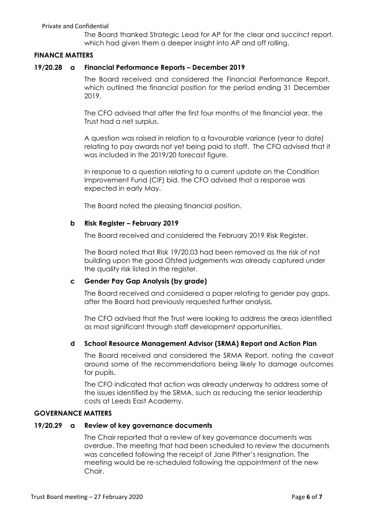The Board thanked Strategic Lead for AP for the clear and succinct report, which had given them a deeper insight into AP and off rolling.

## **FINANCE MATTERS**

## **19/20.28 a Financial Performance Reports – December 2019**

The Board received and considered the Financial Performance Report, which outlined the financial position for the period ending 31 December 2019.

The CFO advised that after the first four months of the financial year, the Trust had a net surplus.

A question was raised in relation to a favourable variance (year to date) relating to pay awards not yet being paid to staff. The CFO advised that it was included in the 2019/20 forecast figure.

In response to a question relating to a current update on the Condition Improvement Fund (CIF) bid, the CFO advised that a response was expected in early May.

The Board noted the pleasing financial position.

### **b Risk Register – February 2019**

The Board received and considered the February 2019 Risk Register.

The Board noted that Risk 19/20.03 had been removed as the risk of not building upon the good Ofsted judgements was already captured under the quality risk listed in the register.

## **c Gender Pay Gap Analysis (by grade)**

The Board received and considered a paper relating to gender pay gaps, after the Board had previously requested further analysis.

The CFO advised that the Trust were looking to address the areas identified as most significant through staff development opportunities.

## **d School Resource Management Advisor (SRMA) Report and Action Plan**

The Board received and considered the SRMA Report, noting the caveat around some of the recommendations being likely to damage outcomes for pupils.

The CFO indicated that action was already underway to address some of the issues identified by the SRMA, such as reducing the senior leadership costs at Leeds East Academy.

#### **GOVERNANCE MATTERS**

### **19/20.29 a Review of key governance documents**

The Chair reported that a review of key governance documents was overdue. The meeting that had been scheduled to review the documents was cancelled following the receipt of Jane Pither's resignation. The meeting would be re-scheduled following the appointment of the new Chair.